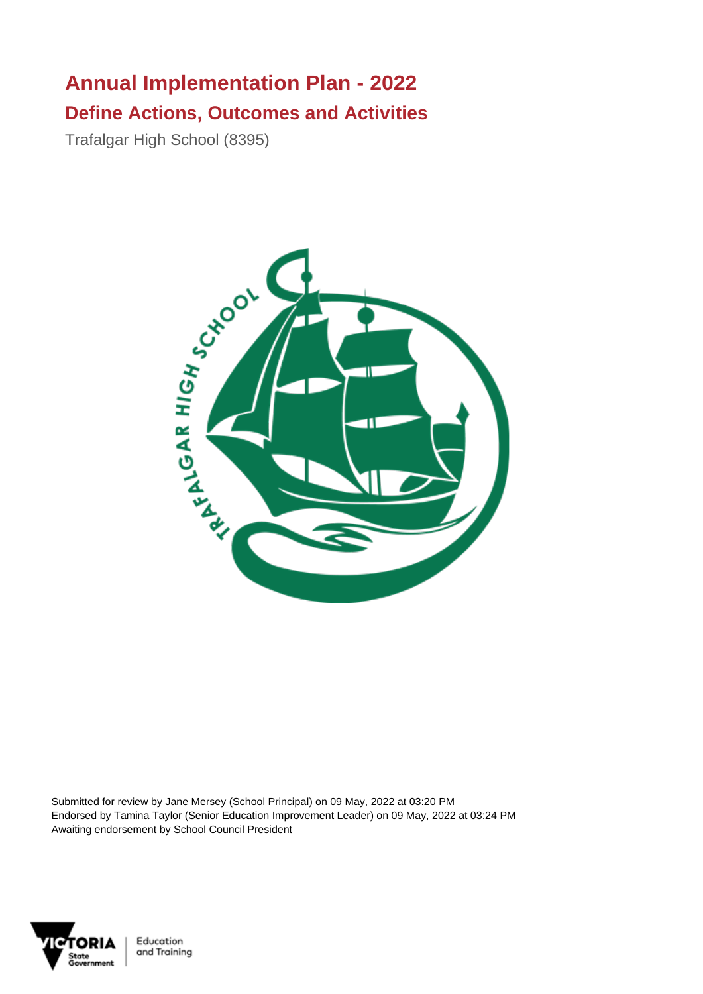## **Annual Implementation Plan - 2022 Define Actions, Outcomes and Activities**

Trafalgar High School (8395)



Submitted for review by Jane Mersey (School Principal) on 09 May, 2022 at 03:20 PM Endorsed by Tamina Taylor (Senior Education Improvement Leader) on 09 May, 2022 at 03:24 PM Awaiting endorsement by School Council President

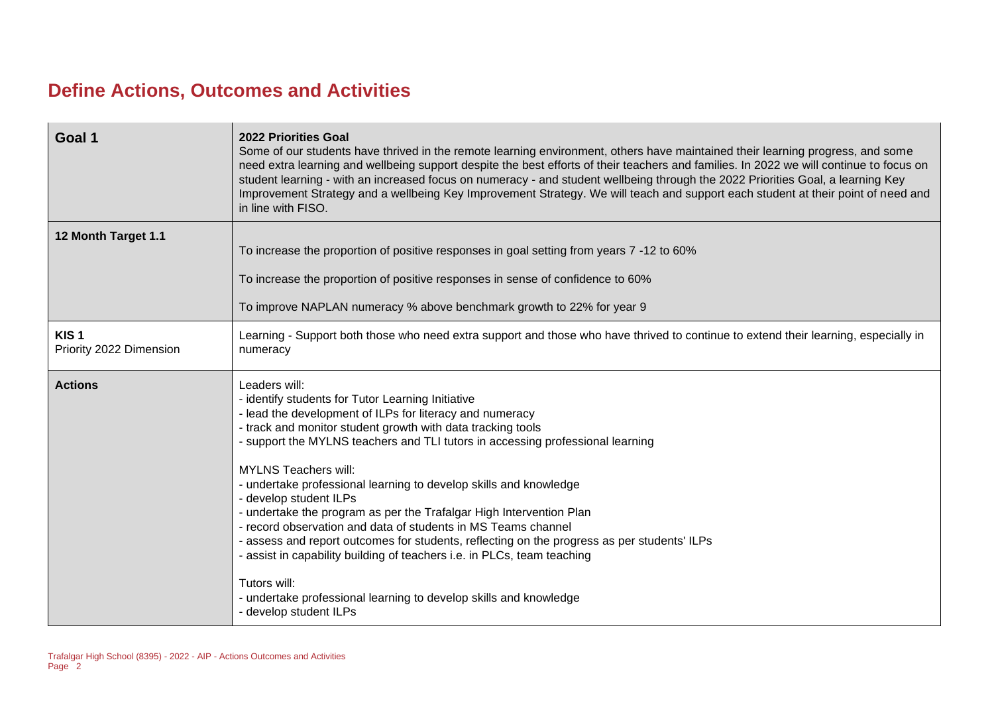## **Define Actions, Outcomes and Activities**

| Goal 1                                      | <b>2022 Priorities Goal</b><br>Some of our students have thrived in the remote learning environment, others have maintained their learning progress, and some<br>need extra learning and wellbeing support despite the best efforts of their teachers and families. In 2022 we will continue to focus on<br>student learning - with an increased focus on numeracy - and student wellbeing through the 2022 Priorities Goal, a learning Key<br>Improvement Strategy and a wellbeing Key Improvement Strategy. We will teach and support each student at their point of need and<br>in line with FISO.                                                                                                                                                                                                                                          |
|---------------------------------------------|------------------------------------------------------------------------------------------------------------------------------------------------------------------------------------------------------------------------------------------------------------------------------------------------------------------------------------------------------------------------------------------------------------------------------------------------------------------------------------------------------------------------------------------------------------------------------------------------------------------------------------------------------------------------------------------------------------------------------------------------------------------------------------------------------------------------------------------------|
| 12 Month Target 1.1                         | To increase the proportion of positive responses in goal setting from years 7 -12 to 60%                                                                                                                                                                                                                                                                                                                                                                                                                                                                                                                                                                                                                                                                                                                                                       |
|                                             | To increase the proportion of positive responses in sense of confidence to 60%<br>To improve NAPLAN numeracy % above benchmark growth to 22% for year 9                                                                                                                                                                                                                                                                                                                                                                                                                                                                                                                                                                                                                                                                                        |
| KIS <sub>1</sub><br>Priority 2022 Dimension | Learning - Support both those who need extra support and those who have thrived to continue to extend their learning, especially in<br>numeracy                                                                                                                                                                                                                                                                                                                                                                                                                                                                                                                                                                                                                                                                                                |
| <b>Actions</b>                              | Leaders will:<br>- identify students for Tutor Learning Initiative<br>- lead the development of ILPs for literacy and numeracy<br>- track and monitor student growth with data tracking tools<br>- support the MYLNS teachers and TLI tutors in accessing professional learning<br><b>MYLNS Teachers will:</b><br>- undertake professional learning to develop skills and knowledge<br>- develop student ILPs<br>- undertake the program as per the Trafalgar High Intervention Plan<br>- record observation and data of students in MS Teams channel<br>- assess and report outcomes for students, reflecting on the progress as per students' ILPs<br>- assist in capability building of teachers i.e. in PLCs, team teaching<br>Tutors will:<br>- undertake professional learning to develop skills and knowledge<br>- develop student ILPs |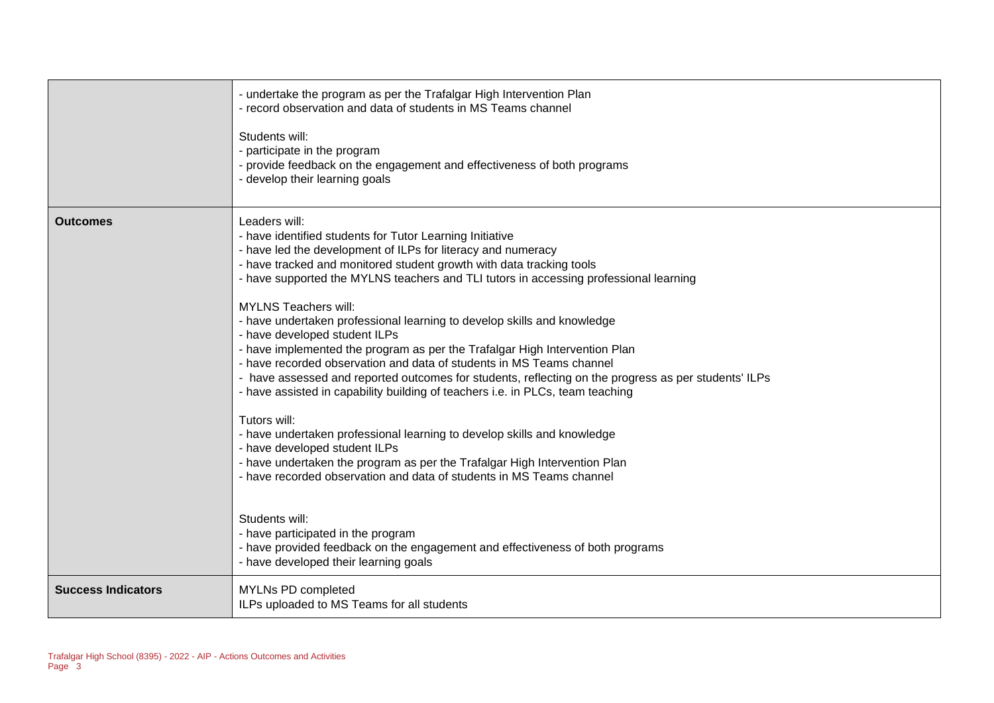|                           | - undertake the program as per the Trafalgar High Intervention Plan<br>- record observation and data of students in MS Teams channel<br>Students will:<br>- participate in the program<br>- provide feedback on the engagement and effectiveness of both programs<br>- develop their learning goals                                                                                                                                                                                                                                                                                                                                                                                                                                                                                                                                                                                                                                                                                                                                                                                                                                                                                                                                                                      |
|---------------------------|--------------------------------------------------------------------------------------------------------------------------------------------------------------------------------------------------------------------------------------------------------------------------------------------------------------------------------------------------------------------------------------------------------------------------------------------------------------------------------------------------------------------------------------------------------------------------------------------------------------------------------------------------------------------------------------------------------------------------------------------------------------------------------------------------------------------------------------------------------------------------------------------------------------------------------------------------------------------------------------------------------------------------------------------------------------------------------------------------------------------------------------------------------------------------------------------------------------------------------------------------------------------------|
| <b>Outcomes</b>           | Leaders will:<br>- have identified students for Tutor Learning Initiative<br>- have led the development of ILPs for literacy and numeracy<br>- have tracked and monitored student growth with data tracking tools<br>- have supported the MYLNS teachers and TLI tutors in accessing professional learning<br><b>MYLNS Teachers will:</b><br>- have undertaken professional learning to develop skills and knowledge<br>- have developed student ILPs<br>- have implemented the program as per the Trafalgar High Intervention Plan<br>- have recorded observation and data of students in MS Teams channel<br>- have assessed and reported outcomes for students, reflecting on the progress as per students' ILPs<br>- have assisted in capability building of teachers i.e. in PLCs, team teaching<br>Tutors will:<br>- have undertaken professional learning to develop skills and knowledge<br>- have developed student ILPs<br>- have undertaken the program as per the Trafalgar High Intervention Plan<br>- have recorded observation and data of students in MS Teams channel<br>Students will:<br>- have participated in the program<br>- have provided feedback on the engagement and effectiveness of both programs<br>- have developed their learning goals |
| <b>Success Indicators</b> | MYLNs PD completed<br>ILPs uploaded to MS Teams for all students                                                                                                                                                                                                                                                                                                                                                                                                                                                                                                                                                                                                                                                                                                                                                                                                                                                                                                                                                                                                                                                                                                                                                                                                         |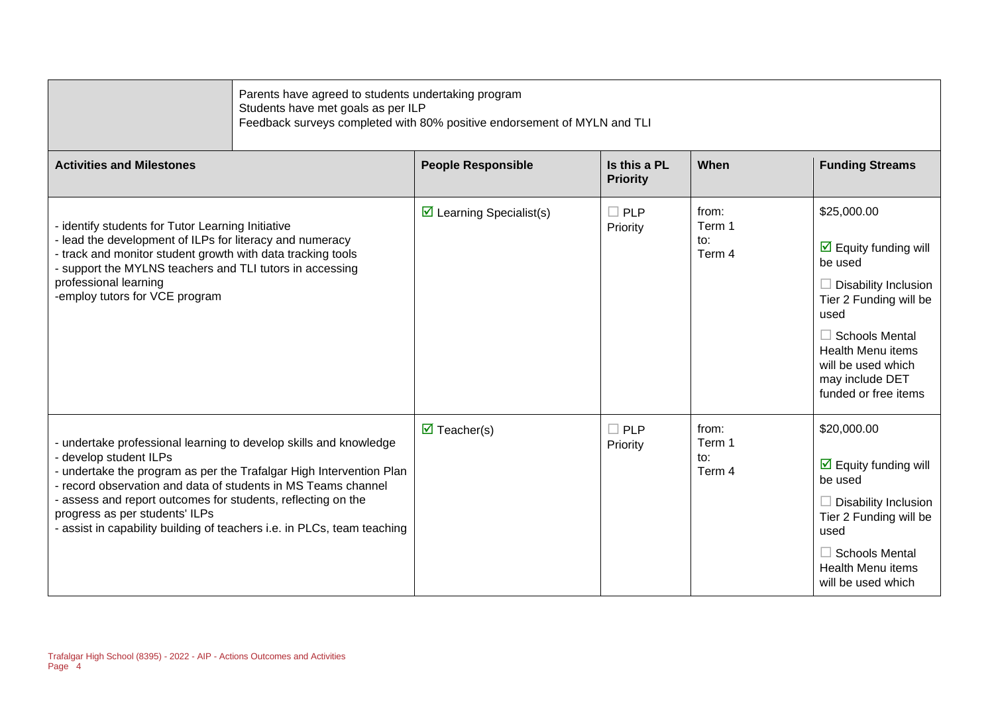|                                                                                                                                                                                                                                                                                                                                                                                                                  | Parents have agreed to students undertaking program<br>Students have met goals as per ILP<br>Feedback surveys completed with 80% positive endorsement of MYLN and TLI |                                 |                                  |                                                                                                                                                                                                                                                       |
|------------------------------------------------------------------------------------------------------------------------------------------------------------------------------------------------------------------------------------------------------------------------------------------------------------------------------------------------------------------------------------------------------------------|-----------------------------------------------------------------------------------------------------------------------------------------------------------------------|---------------------------------|----------------------------------|-------------------------------------------------------------------------------------------------------------------------------------------------------------------------------------------------------------------------------------------------------|
| <b>Activities and Milestones</b>                                                                                                                                                                                                                                                                                                                                                                                 | <b>People Responsible</b>                                                                                                                                             | Is this a PL<br><b>Priority</b> | When                             | <b>Funding Streams</b>                                                                                                                                                                                                                                |
| - identify students for Tutor Learning Initiative<br>- lead the development of ILPs for literacy and numeracy<br>- track and monitor student growth with data tracking tools<br>- support the MYLNS teachers and TLI tutors in accessing<br>professional learning<br>-employ tutors for VCE program                                                                                                              | $\triangleright$ Learning Specialist(s)                                                                                                                               | $\Box$ PLP<br>Priority          | from:<br>Term 1<br>to:<br>Term 4 | \$25,000.00<br>$\triangleright$ Equity funding will<br>be used<br>$\Box$ Disability Inclusion<br>Tier 2 Funding will be<br>used<br>$\Box$ Schools Mental<br><b>Health Menu items</b><br>will be used which<br>may include DET<br>funded or free items |
| - undertake professional learning to develop skills and knowledge<br>- develop student ILPs<br>- undertake the program as per the Trafalgar High Intervention Plan<br>- record observation and data of students in MS Teams channel<br>- assess and report outcomes for students, reflecting on the<br>progress as per students' ILPs<br>- assist in capability building of teachers i.e. in PLCs, team teaching | $\overline{\mathbf{M}}$ Teacher(s)                                                                                                                                    | $\Box$ PLP<br>Priority          | from:<br>Term 1<br>to:<br>Term 4 | \$20,000.00<br>$\overline{\mathbf{M}}$ Equity funding will<br>be used<br>$\Box$ Disability Inclusion<br>Tier 2 Funding will be<br>used<br>$\Box$ Schools Mental<br><b>Health Menu items</b><br>will be used which                                     |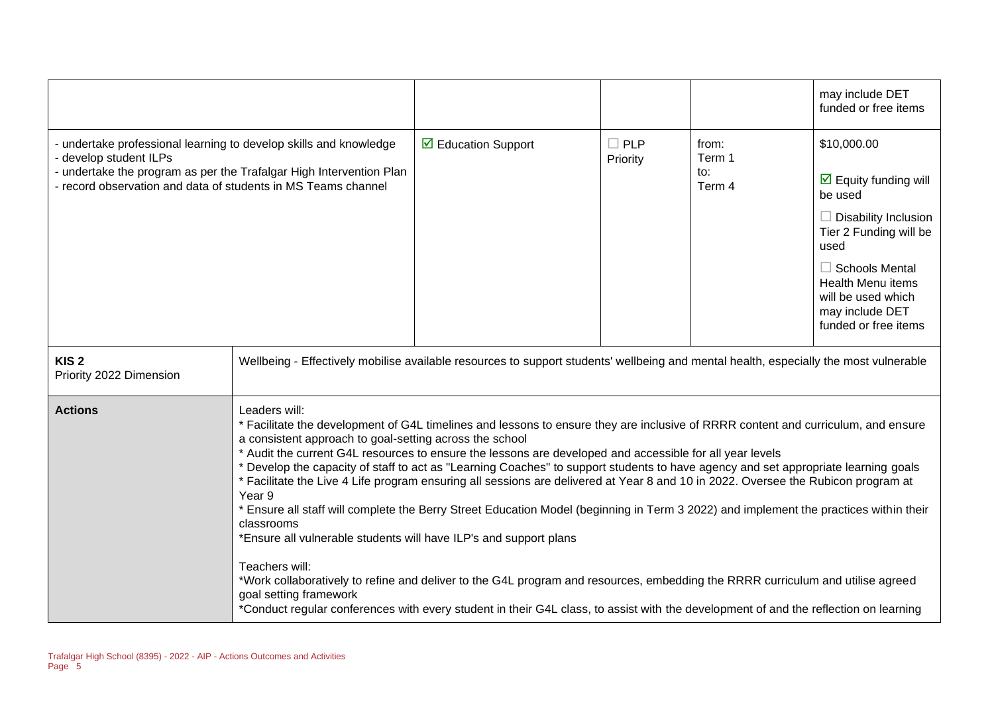|                                                                                                                                                                                                                                   |                                                                                                                                                                                                                                                                                                                                                                                                                                                                                                                                                                                                                                                                                                                                                                                                                                                                                                                                                                                                                                                                                                                                                                             |                                    |                        |                                  | may include DET<br>funded or free items                                                                                                                                                                                                                      |
|-----------------------------------------------------------------------------------------------------------------------------------------------------------------------------------------------------------------------------------|-----------------------------------------------------------------------------------------------------------------------------------------------------------------------------------------------------------------------------------------------------------------------------------------------------------------------------------------------------------------------------------------------------------------------------------------------------------------------------------------------------------------------------------------------------------------------------------------------------------------------------------------------------------------------------------------------------------------------------------------------------------------------------------------------------------------------------------------------------------------------------------------------------------------------------------------------------------------------------------------------------------------------------------------------------------------------------------------------------------------------------------------------------------------------------|------------------------------------|------------------------|----------------------------------|--------------------------------------------------------------------------------------------------------------------------------------------------------------------------------------------------------------------------------------------------------------|
| - undertake professional learning to develop skills and knowledge<br>- develop student ILPs<br>- undertake the program as per the Trafalgar High Intervention Plan<br>record observation and data of students in MS Teams channel |                                                                                                                                                                                                                                                                                                                                                                                                                                                                                                                                                                                                                                                                                                                                                                                                                                                                                                                                                                                                                                                                                                                                                                             | $\triangleright$ Education Support | $\Box$ PLP<br>Priority | from:<br>Term 1<br>to:<br>Term 4 | \$10,000.00<br>$\overline{\mathbf{M}}$ Equity funding will<br>be used<br>$\Box$ Disability Inclusion<br>Tier 2 Funding will be<br>used<br>$\Box$ Schools Mental<br><b>Health Menu items</b><br>will be used which<br>may include DET<br>funded or free items |
| KIS <sub>2</sub><br>Priority 2022 Dimension                                                                                                                                                                                       | Wellbeing - Effectively mobilise available resources to support students' wellbeing and mental health, especially the most vulnerable                                                                                                                                                                                                                                                                                                                                                                                                                                                                                                                                                                                                                                                                                                                                                                                                                                                                                                                                                                                                                                       |                                    |                        |                                  |                                                                                                                                                                                                                                                              |
| <b>Actions</b>                                                                                                                                                                                                                    | Leaders will:<br>* Facilitate the development of G4L timelines and lessons to ensure they are inclusive of RRRR content and curriculum, and ensure<br>a consistent approach to goal-setting across the school<br>* Audit the current G4L resources to ensure the lessons are developed and accessible for all year levels<br>* Develop the capacity of staff to act as "Learning Coaches" to support students to have agency and set appropriate learning goals<br>* Facilitate the Live 4 Life program ensuring all sessions are delivered at Year 8 and 10 in 2022. Oversee the Rubicon program at<br>Year <sub>9</sub><br>* Ensure all staff will complete the Berry Street Education Model (beginning in Term 3 2022) and implement the practices within their<br>classrooms<br>*Ensure all vulnerable students will have ILP's and support plans<br>Teachers will:<br>*Work collaboratively to refine and deliver to the G4L program and resources, embedding the RRRR curriculum and utilise agreed<br>goal setting framework<br>*Conduct regular conferences with every student in their G4L class, to assist with the development of and the reflection on learning |                                    |                        |                                  |                                                                                                                                                                                                                                                              |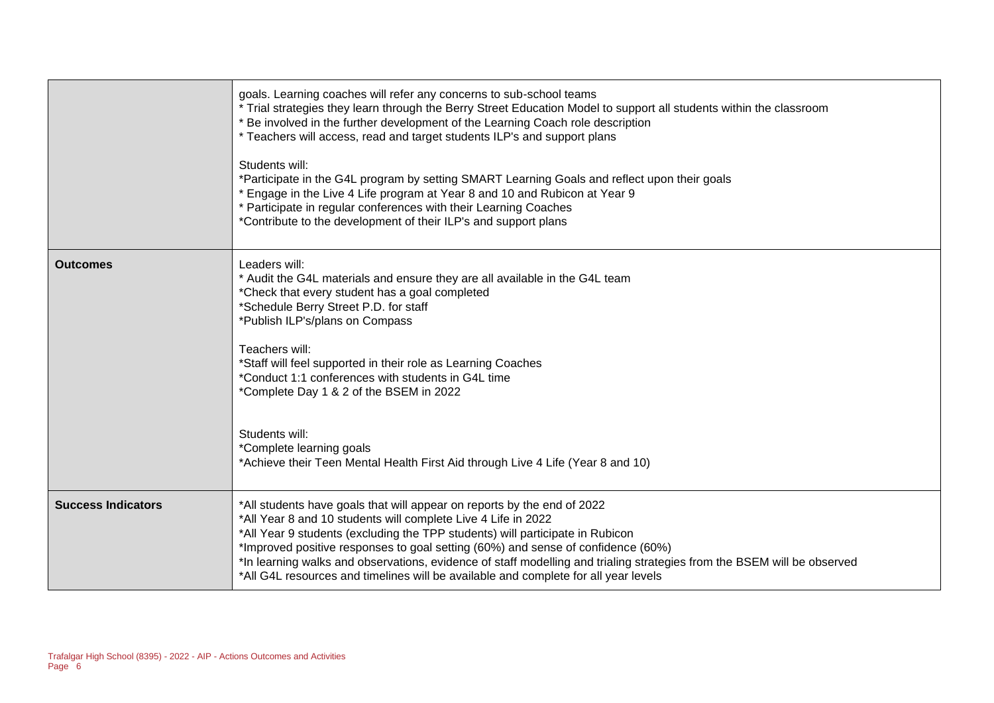|                           | goals. Learning coaches will refer any concerns to sub-school teams<br>* Trial strategies they learn through the Berry Street Education Model to support all students within the classroom<br>* Be involved in the further development of the Learning Coach role description<br>* Teachers will access, read and target students ILP's and support plans<br>Students will:<br>*Participate in the G4L program by setting SMART Learning Goals and reflect upon their goals<br>* Engage in the Live 4 Life program at Year 8 and 10 and Rubicon at Year 9<br>* Participate in regular conferences with their Learning Coaches<br>*Contribute to the development of their ILP's and support plans |
|---------------------------|--------------------------------------------------------------------------------------------------------------------------------------------------------------------------------------------------------------------------------------------------------------------------------------------------------------------------------------------------------------------------------------------------------------------------------------------------------------------------------------------------------------------------------------------------------------------------------------------------------------------------------------------------------------------------------------------------|
| <b>Outcomes</b>           | Leaders will:<br>* Audit the G4L materials and ensure they are all available in the G4L team<br>*Check that every student has a goal completed<br>*Schedule Berry Street P.D. for staff<br>*Publish ILP's/plans on Compass<br>Teachers will:<br>*Staff will feel supported in their role as Learning Coaches<br>*Conduct 1:1 conferences with students in G4L time<br>*Complete Day 1 & 2 of the BSEM in 2022<br>Students will:                                                                                                                                                                                                                                                                  |
|                           | *Complete learning goals<br>*Achieve their Teen Mental Health First Aid through Live 4 Life (Year 8 and 10)                                                                                                                                                                                                                                                                                                                                                                                                                                                                                                                                                                                      |
| <b>Success Indicators</b> | *All students have goals that will appear on reports by the end of 2022<br>*All Year 8 and 10 students will complete Live 4 Life in 2022<br>*All Year 9 students (excluding the TPP students) will participate in Rubicon<br>*Improved positive responses to goal setting (60%) and sense of confidence (60%)<br>*In learning walks and observations, evidence of staff modelling and trialing strategies from the BSEM will be observed<br>*All G4L resources and timelines will be available and complete for all year levels                                                                                                                                                                  |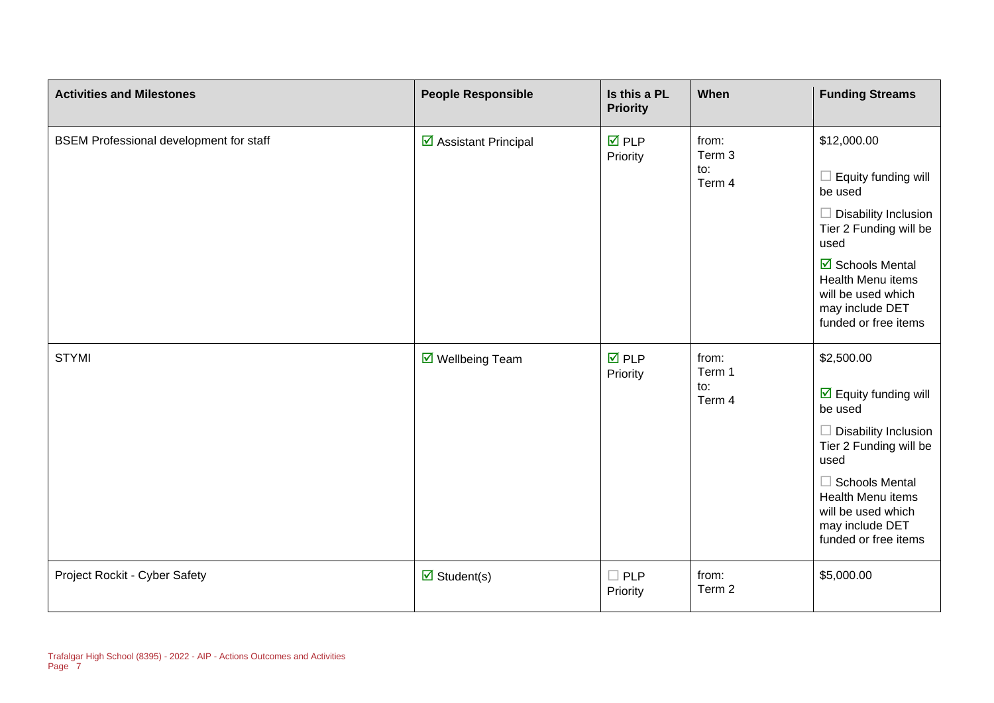| <b>Activities and Milestones</b>               | <b>People Responsible</b>          | Is this a PL<br><b>Priority</b> | When                             | <b>Funding Streams</b>                                                                                                                                                                                                                        |
|------------------------------------------------|------------------------------------|---------------------------------|----------------------------------|-----------------------------------------------------------------------------------------------------------------------------------------------------------------------------------------------------------------------------------------------|
| <b>BSEM Professional development for staff</b> | ☑ Assistant Principal              | $\overline{M}$ PLP<br>Priority  | from:<br>Term 3<br>to:<br>Term 4 | \$12,000.00<br>Equity funding will<br>be used<br>$\Box$ Disability Inclusion<br>Tier 2 Funding will be<br>used<br>☑ Schools Mental<br>Health Menu items<br>will be used which<br>may include DET<br>funded or free items                      |
| <b>STYMI</b>                                   | $\triangledown$ Wellbeing Team     | $\overline{M}$ PLP<br>Priority  | from:<br>Term 1<br>to:<br>Term 4 | \$2,500.00<br>$\overline{\mathbf{M}}$ Equity funding will<br>be used<br>Disability Inclusion<br>Tier 2 Funding will be<br>used<br>$\Box$ Schools Mental<br>Health Menu items<br>will be used which<br>may include DET<br>funded or free items |
| Project Rockit - Cyber Safety                  | $\overline{\mathbf{M}}$ Student(s) | $\Box$ PLP<br>Priority          | from:<br>Term 2                  | \$5,000.00                                                                                                                                                                                                                                    |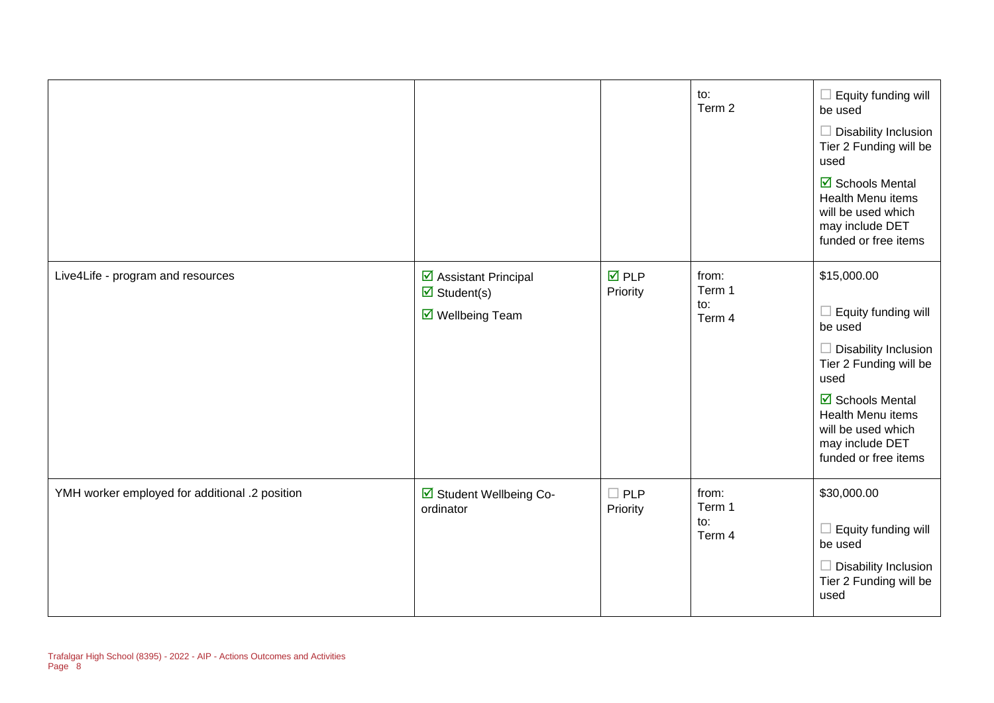|                                                |                                                                                               |                                | to:<br>Term 2                    | Equity funding will<br>$\mathcal{L}_{\mathcal{A}}$<br>be used<br>$\Box$ Disability Inclusion<br>Tier 2 Funding will be<br>used<br>$\overline{\mathbf{M}}$ Schools Mental<br><b>Health Menu items</b><br>will be used which<br>may include DET<br>funded or free items |
|------------------------------------------------|-----------------------------------------------------------------------------------------------|--------------------------------|----------------------------------|-----------------------------------------------------------------------------------------------------------------------------------------------------------------------------------------------------------------------------------------------------------------------|
| Live4Life - program and resources              | ☑ Assistant Principal<br>$\overline{\mathbf{z}}$ Student(s)<br>$\triangledown$ Wellbeing Team | $\overline{M}$ PLP<br>Priority | from:<br>Term 1<br>to:<br>Term 4 | \$15,000.00<br>Equity funding will<br>be used<br>Disability Inclusion<br>Tier 2 Funding will be<br>used<br>$\overline{\mathbf{M}}$ Schools Mental<br>Health Menu items<br>will be used which<br>may include DET<br>funded or free items                               |
| YMH worker employed for additional .2 position | ☑ Student Wellbeing Co-<br>ordinator                                                          | $\Box$ PLP<br>Priority         | from:<br>Term 1<br>to:<br>Term 4 | \$30,000.00<br>$\Box$ Equity funding will<br>be used<br>$\Box$ Disability Inclusion<br>Tier 2 Funding will be<br>used                                                                                                                                                 |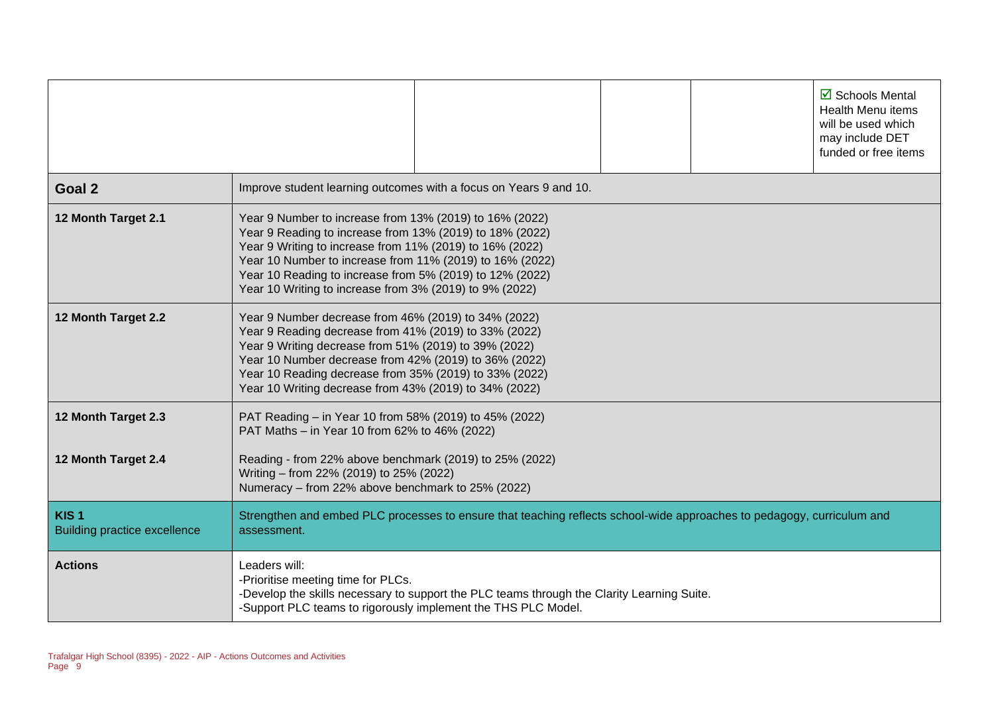|                                                         | $\overline{\boxtimes}$ Schools Mental<br>Health Menu items<br>will be used which<br>may include DET<br>funded or free items                                                                                                                                                                                                                                        |  |  |  |
|---------------------------------------------------------|--------------------------------------------------------------------------------------------------------------------------------------------------------------------------------------------------------------------------------------------------------------------------------------------------------------------------------------------------------------------|--|--|--|
| Goal 2                                                  | Improve student learning outcomes with a focus on Years 9 and 10.                                                                                                                                                                                                                                                                                                  |  |  |  |
| 12 Month Target 2.1                                     | Year 9 Number to increase from 13% (2019) to 16% (2022)<br>Year 9 Reading to increase from 13% (2019) to 18% (2022)<br>Year 9 Writing to increase from 11% (2019) to 16% (2022)<br>Year 10 Number to increase from 11% (2019) to 16% (2022)<br>Year 10 Reading to increase from 5% (2019) to 12% (2022)<br>Year 10 Writing to increase from 3% (2019) to 9% (2022) |  |  |  |
| 12 Month Target 2.2                                     | Year 9 Number decrease from 46% (2019) to 34% (2022)<br>Year 9 Reading decrease from 41% (2019) to 33% (2022)<br>Year 9 Writing decrease from 51% (2019) to 39% (2022)<br>Year 10 Number decrease from 42% (2019) to 36% (2022)<br>Year 10 Reading decrease from 35% (2019) to 33% (2022)<br>Year 10 Writing decrease from 43% (2019) to 34% (2022)                |  |  |  |
| 12 Month Target 2.3                                     | PAT Reading - in Year 10 from 58% (2019) to 45% (2022)<br>PAT Maths - in Year 10 from 62% to 46% (2022)                                                                                                                                                                                                                                                            |  |  |  |
| 12 Month Target 2.4                                     | Reading - from 22% above benchmark (2019) to 25% (2022)<br>Writing - from 22% (2019) to 25% (2022)<br>Numeracy - from 22% above benchmark to 25% (2022)                                                                                                                                                                                                            |  |  |  |
| KIS <sub>1</sub><br><b>Building practice excellence</b> | Strengthen and embed PLC processes to ensure that teaching reflects school-wide approaches to pedagogy, curriculum and<br>assessment.                                                                                                                                                                                                                              |  |  |  |
| <b>Actions</b>                                          | Leaders will:<br>-Prioritise meeting time for PLCs.<br>-Develop the skills necessary to support the PLC teams through the Clarity Learning Suite.<br>-Support PLC teams to rigorously implement the THS PLC Model.                                                                                                                                                 |  |  |  |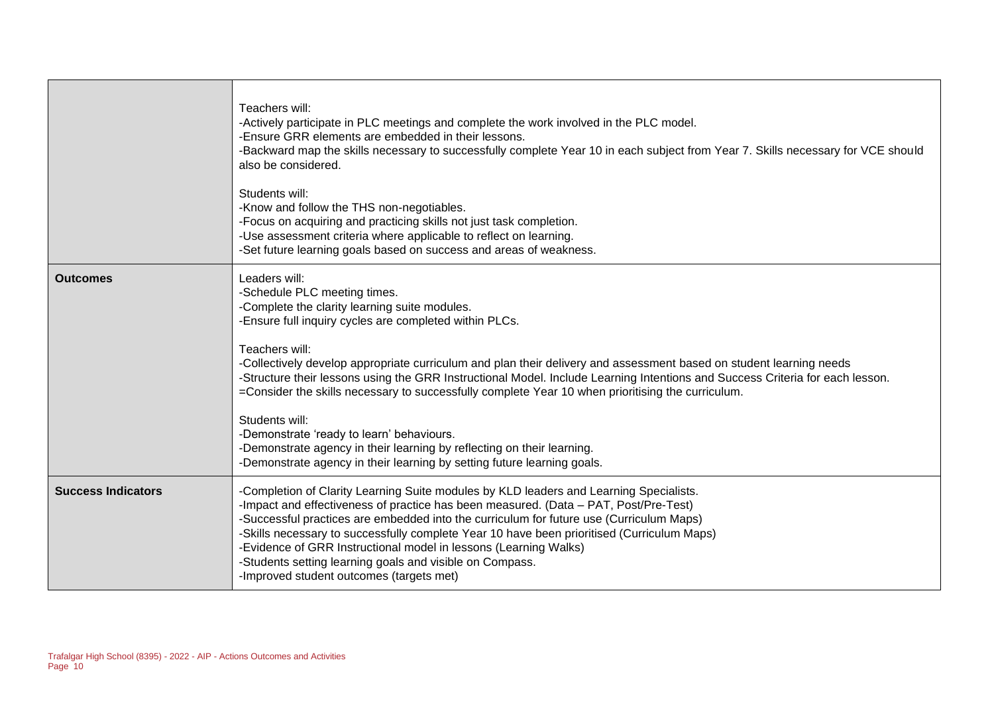|                           | Teachers will:<br>-Actively participate in PLC meetings and complete the work involved in the PLC model.<br>-Ensure GRR elements are embedded in their lessons.<br>-Backward map the skills necessary to successfully complete Year 10 in each subject from Year 7. Skills necessary for VCE should<br>also be considered.<br>Students will:<br>-Know and follow the THS non-negotiables.<br>-Focus on acquiring and practicing skills not just task completion.<br>-Use assessment criteria where applicable to reflect on learning.<br>-Set future learning goals based on success and areas of weakness.                                                                                                                                                 |
|---------------------------|-------------------------------------------------------------------------------------------------------------------------------------------------------------------------------------------------------------------------------------------------------------------------------------------------------------------------------------------------------------------------------------------------------------------------------------------------------------------------------------------------------------------------------------------------------------------------------------------------------------------------------------------------------------------------------------------------------------------------------------------------------------|
| <b>Outcomes</b>           | Leaders will:<br>-Schedule PLC meeting times.<br>-Complete the clarity learning suite modules.<br>-Ensure full inquiry cycles are completed within PLCs.<br>Teachers will:<br>-Collectively develop appropriate curriculum and plan their delivery and assessment based on student learning needs<br>-Structure their lessons using the GRR Instructional Model. Include Learning Intentions and Success Criteria for each lesson.<br>=Consider the skills necessary to successfully complete Year 10 when prioritising the curriculum.<br>Students will:<br>-Demonstrate 'ready to learn' behaviours.<br>-Demonstrate agency in their learning by reflecting on their learning.<br>-Demonstrate agency in their learning by setting future learning goals. |
| <b>Success Indicators</b> | -Completion of Clarity Learning Suite modules by KLD leaders and Learning Specialists.<br>-Impact and effectiveness of practice has been measured. (Data - PAT, Post/Pre-Test)<br>-Successful practices are embedded into the curriculum for future use (Curriculum Maps)<br>-Skills necessary to successfully complete Year 10 have been prioritised (Curriculum Maps)<br>-Evidence of GRR Instructional model in lessons (Learning Walks)<br>-Students setting learning goals and visible on Compass.<br>-Improved student outcomes (targets met)                                                                                                                                                                                                         |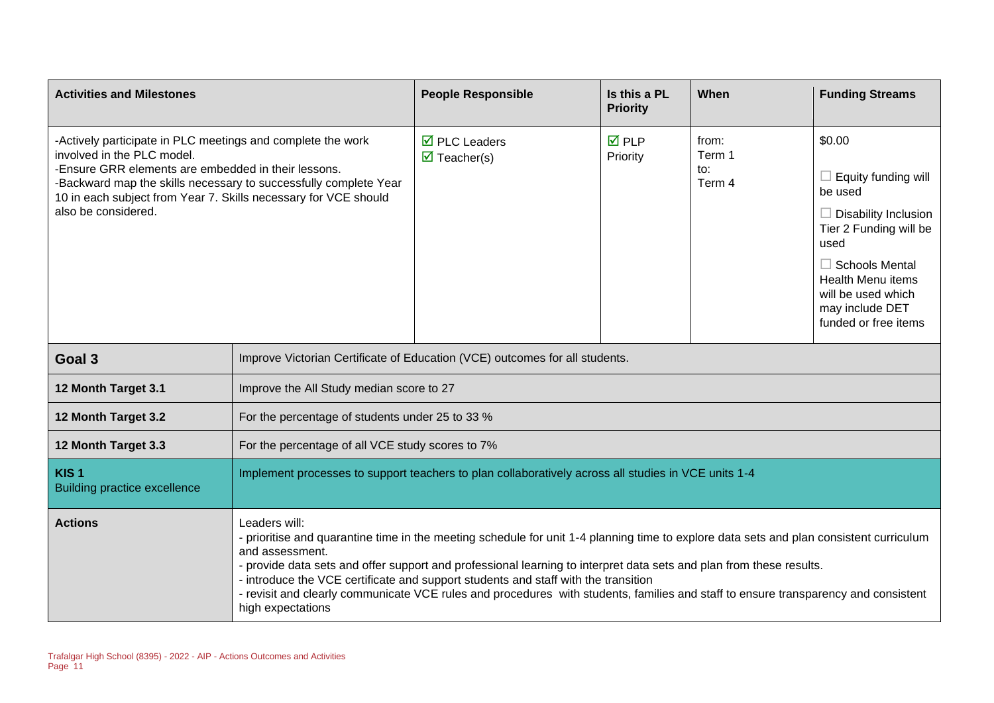| <b>Activities and Milestones</b>                                                                                                                                                                                                                                                                               |                                                                                                                                                                                                                                                                                                                                                                                                                                                                                                                                                     | <b>People Responsible</b>                                                   | Is this a PL<br><b>Priority</b> | When                             | <b>Funding Streams</b>                                                                                                                                                                                                                 |
|----------------------------------------------------------------------------------------------------------------------------------------------------------------------------------------------------------------------------------------------------------------------------------------------------------------|-----------------------------------------------------------------------------------------------------------------------------------------------------------------------------------------------------------------------------------------------------------------------------------------------------------------------------------------------------------------------------------------------------------------------------------------------------------------------------------------------------------------------------------------------------|-----------------------------------------------------------------------------|---------------------------------|----------------------------------|----------------------------------------------------------------------------------------------------------------------------------------------------------------------------------------------------------------------------------------|
| -Actively participate in PLC meetings and complete the work<br>involved in the PLC model.<br>-Ensure GRR elements are embedded in their lessons.<br>-Backward map the skills necessary to successfully complete Year<br>10 in each subject from Year 7. Skills necessary for VCE should<br>also be considered. |                                                                                                                                                                                                                                                                                                                                                                                                                                                                                                                                                     | $\overline{\boxtimes}$ PLC Leaders<br>$\overline{\mathbf{M}}$ Teacher(s)    | $\nabla$ PLP<br>Priority        | from:<br>Term 1<br>to:<br>Term 4 | \$0.00<br>$\Box$ Equity funding will<br>be used<br>$\Box$ Disability Inclusion<br>Tier 2 Funding will be<br>used<br>$\Box$ Schools Mental<br><b>Health Menu items</b><br>will be used which<br>may include DET<br>funded or free items |
| Goal 3                                                                                                                                                                                                                                                                                                         |                                                                                                                                                                                                                                                                                                                                                                                                                                                                                                                                                     | Improve Victorian Certificate of Education (VCE) outcomes for all students. |                                 |                                  |                                                                                                                                                                                                                                        |
| 12 Month Target 3.1                                                                                                                                                                                                                                                                                            | Improve the All Study median score to 27                                                                                                                                                                                                                                                                                                                                                                                                                                                                                                            |                                                                             |                                 |                                  |                                                                                                                                                                                                                                        |
| 12 Month Target 3.2                                                                                                                                                                                                                                                                                            | For the percentage of students under 25 to 33 %                                                                                                                                                                                                                                                                                                                                                                                                                                                                                                     |                                                                             |                                 |                                  |                                                                                                                                                                                                                                        |
| 12 Month Target 3.3                                                                                                                                                                                                                                                                                            | For the percentage of all VCE study scores to 7%                                                                                                                                                                                                                                                                                                                                                                                                                                                                                                    |                                                                             |                                 |                                  |                                                                                                                                                                                                                                        |
| KIS <sub>1</sub><br><b>Building practice excellence</b>                                                                                                                                                                                                                                                        | Implement processes to support teachers to plan collaboratively across all studies in VCE units 1-4                                                                                                                                                                                                                                                                                                                                                                                                                                                 |                                                                             |                                 |                                  |                                                                                                                                                                                                                                        |
| <b>Actions</b>                                                                                                                                                                                                                                                                                                 | Leaders will:<br>- prioritise and quarantine time in the meeting schedule for unit 1-4 planning time to explore data sets and plan consistent curriculum<br>and assessment.<br>- provide data sets and offer support and professional learning to interpret data sets and plan from these results.<br>- introduce the VCE certificate and support students and staff with the transition<br>- revisit and clearly communicate VCE rules and procedures with students, families and staff to ensure transparency and consistent<br>high expectations |                                                                             |                                 |                                  |                                                                                                                                                                                                                                        |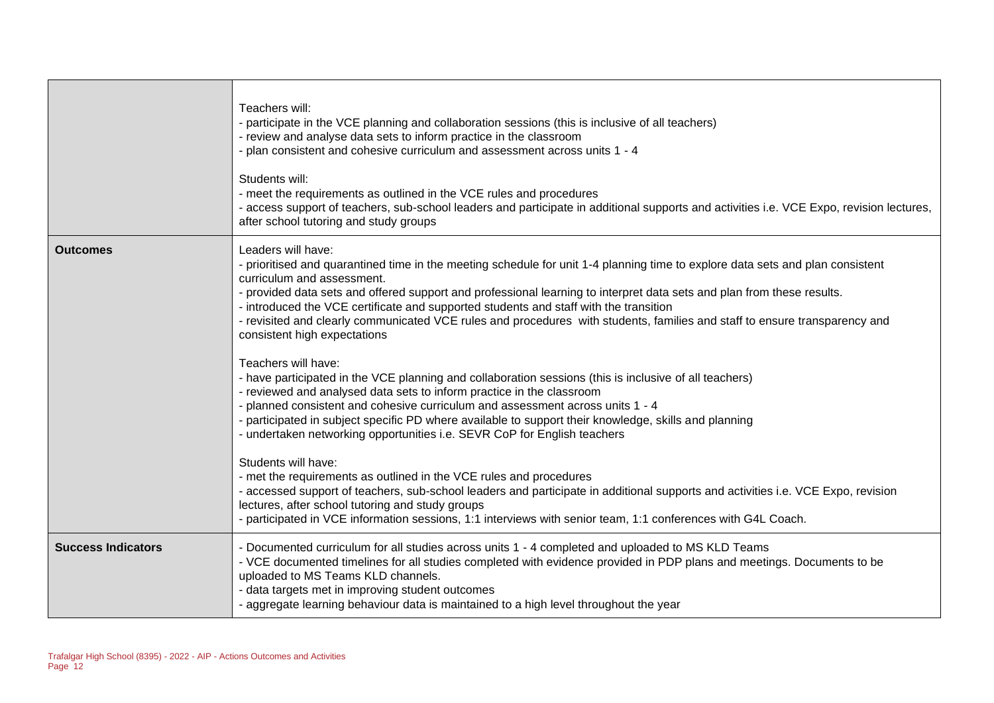|                           | Teachers will:<br>- participate in the VCE planning and collaboration sessions (this is inclusive of all teachers)<br>- review and analyse data sets to inform practice in the classroom<br>- plan consistent and cohesive curriculum and assessment across units 1 - 4<br>Students will:<br>- meet the requirements as outlined in the VCE rules and procedures<br>- access support of teachers, sub-school leaders and participate in additional supports and activities i.e. VCE Expo, revision lectures,<br>after school tutoring and study groups              |
|---------------------------|---------------------------------------------------------------------------------------------------------------------------------------------------------------------------------------------------------------------------------------------------------------------------------------------------------------------------------------------------------------------------------------------------------------------------------------------------------------------------------------------------------------------------------------------------------------------|
| <b>Outcomes</b>           | Leaders will have:<br>- prioritised and quarantined time in the meeting schedule for unit 1-4 planning time to explore data sets and plan consistent<br>curriculum and assessment.<br>- provided data sets and offered support and professional learning to interpret data sets and plan from these results.<br>- introduced the VCE certificate and supported students and staff with the transition<br>- revisited and clearly communicated VCE rules and procedures with students, families and staff to ensure transparency and<br>consistent high expectations |
|                           | Teachers will have:<br>- have participated in the VCE planning and collaboration sessions (this is inclusive of all teachers)<br>- reviewed and analysed data sets to inform practice in the classroom<br>- planned consistent and cohesive curriculum and assessment across units 1 - 4<br>- participated in subject specific PD where available to support their knowledge, skills and planning<br>- undertaken networking opportunities i.e. SEVR CoP for English teachers                                                                                       |
|                           | Students will have:<br>- met the requirements as outlined in the VCE rules and procedures<br>- accessed support of teachers, sub-school leaders and participate in additional supports and activities i.e. VCE Expo, revision<br>lectures, after school tutoring and study groups<br>- participated in VCE information sessions, 1:1 interviews with senior team, 1:1 conferences with G4L Coach.                                                                                                                                                                   |
| <b>Success Indicators</b> | - Documented curriculum for all studies across units 1 - 4 completed and uploaded to MS KLD Teams<br>- VCE documented timelines for all studies completed with evidence provided in PDP plans and meetings. Documents to be<br>uploaded to MS Teams KLD channels.<br>- data targets met in improving student outcomes<br>- aggregate learning behaviour data is maintained to a high level throughout the year                                                                                                                                                      |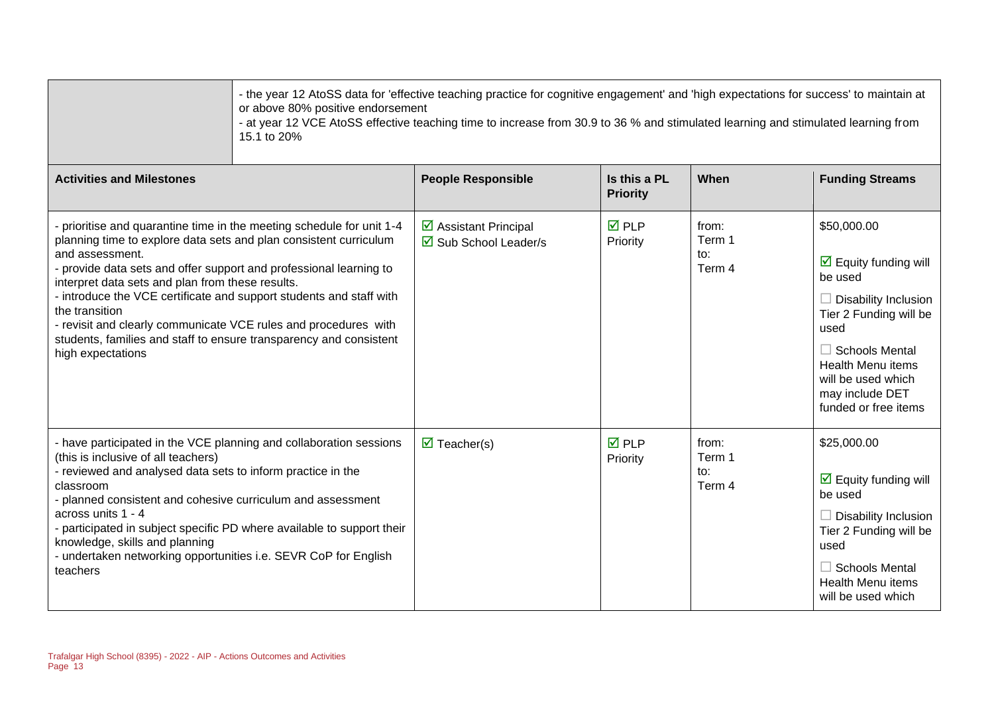| 15.1 to 20%                                                                                                                                                                                                                                                                                                                                                                                                                                                                                                                                    | - the year 12 AtoSS data for 'effective teaching practice for cognitive engagement' and 'high expectations for success' to maintain at<br>or above 80% positive endorsement<br>- at year 12 VCE AtoSS effective teaching time to increase from 30.9 to 36 % and stimulated learning and stimulated learning from |                                 |                                  |                                                                                                                                                                                                                                                       |
|------------------------------------------------------------------------------------------------------------------------------------------------------------------------------------------------------------------------------------------------------------------------------------------------------------------------------------------------------------------------------------------------------------------------------------------------------------------------------------------------------------------------------------------------|------------------------------------------------------------------------------------------------------------------------------------------------------------------------------------------------------------------------------------------------------------------------------------------------------------------|---------------------------------|----------------------------------|-------------------------------------------------------------------------------------------------------------------------------------------------------------------------------------------------------------------------------------------------------|
| <b>Activities and Milestones</b>                                                                                                                                                                                                                                                                                                                                                                                                                                                                                                               | <b>People Responsible</b>                                                                                                                                                                                                                                                                                        | Is this a PL<br><b>Priority</b> | When                             | <b>Funding Streams</b>                                                                                                                                                                                                                                |
| - prioritise and quarantine time in the meeting schedule for unit 1-4<br>planning time to explore data sets and plan consistent curriculum<br>and assessment.<br>- provide data sets and offer support and professional learning to<br>interpret data sets and plan from these results.<br>- introduce the VCE certificate and support students and staff with<br>the transition<br>- revisit and clearly communicate VCE rules and procedures with<br>students, families and staff to ensure transparency and consistent<br>high expectations | ☑ Assistant Principal<br>$\overline{\boxtimes}$ Sub School Leader/s                                                                                                                                                                                                                                              | $\overline{M}$ PLP<br>Priority  | from:<br>Term 1<br>to:<br>Term 4 | \$50,000.00<br>$\triangleright$ Equity funding will<br>be used<br>$\Box$ Disability Inclusion<br>Tier 2 Funding will be<br>used<br>$\Box$ Schools Mental<br><b>Health Menu items</b><br>will be used which<br>may include DET<br>funded or free items |
| - have participated in the VCE planning and collaboration sessions<br>(this is inclusive of all teachers)<br>- reviewed and analysed data sets to inform practice in the<br>classroom<br>- planned consistent and cohesive curriculum and assessment<br>across units 1 - 4<br>- participated in subject specific PD where available to support their<br>knowledge, skills and planning<br>- undertaken networking opportunities i.e. SEVR CoP for English<br>teachers                                                                          | $\triangledown$ Teacher(s)                                                                                                                                                                                                                                                                                       | $\overline{M}$ PLP<br>Priority  | from:<br>Term 1<br>to:<br>Term 4 | \$25,000.00<br>$\triangleright$ Equity funding will<br>be used<br>$\Box$ Disability Inclusion<br>Tier 2 Funding will be<br>used<br>$\Box$ Schools Mental<br><b>Health Menu items</b><br>will be used which                                            |